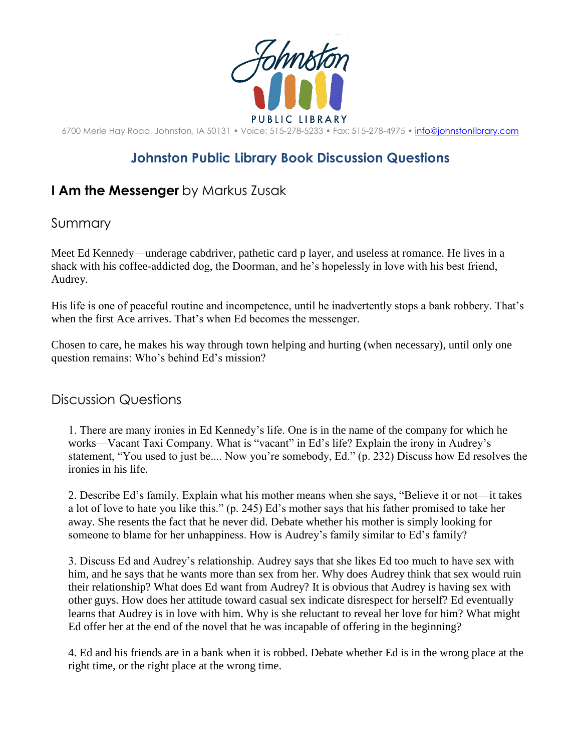

6700 Merle Hay Road, Johnston, IA 50131 • Voice: 515-278-5233 • Fax: 515-278-4975 • [info@johnstonlibrary.com](mailto:info@johnstonlibrary.com)

## **Johnston Public Library Book Discussion Questions**

## **I Am the Messenger** by Markus Zusak

## Summary

Meet Ed Kennedy—underage cabdriver, pathetic card p layer, and useless at romance. He lives in a shack with his coffee-addicted dog, the Doorman, and he's hopelessly in love with his best friend, Audrey.

His life is one of peaceful routine and incompetence, until he inadvertently stops a bank robbery. That's when the first Ace arrives. That's when Ed becomes the messenger.

Chosen to care, he makes his way through town helping and hurting (when necessary), until only one question remains: Who's behind Ed's mission?

## Discussion Questions

1. There are many ironies in Ed Kennedy's life. One is in the name of the company for which he works—Vacant Taxi Company. What is "vacant" in Ed's life? Explain the irony in Audrey's statement, "You used to just be.... Now you're somebody, Ed." (p. 232) Discuss how Ed resolves the ironies in his life.

2. Describe Ed's family. Explain what his mother means when she says, "Believe it or not—it takes a lot of love to hate you like this." (p. 245) Ed's mother says that his father promised to take her away. She resents the fact that he never did. Debate whether his mother is simply looking for someone to blame for her unhappiness. How is Audrey's family similar to Ed's family?

3. Discuss Ed and Audrey's relationship. Audrey says that she likes Ed too much to have sex with him, and he says that he wants more than sex from her. Why does Audrey think that sex would ruin their relationship? What does Ed want from Audrey? It is obvious that Audrey is having sex with other guys. How does her attitude toward casual sex indicate disrespect for herself? Ed eventually learns that Audrey is in love with him. Why is she reluctant to reveal her love for him? What might Ed offer her at the end of the novel that he was incapable of offering in the beginning?

4. Ed and his friends are in a bank when it is robbed. Debate whether Ed is in the wrong place at the right time, or the right place at the wrong time.